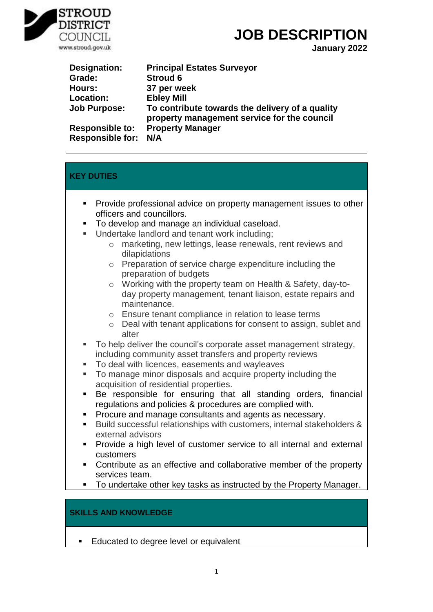

# **JOB DESCRIPTION**

**January 2022**

| Designation:            | <b>Principal Estates Surveyor</b>                                                              |
|-------------------------|------------------------------------------------------------------------------------------------|
| Grade:                  | <b>Stroud 6</b>                                                                                |
| Hours:                  | 37 per week                                                                                    |
| <b>Location:</b>        | <b>Ebley Mill</b>                                                                              |
| <b>Job Purpose:</b>     | To contribute towards the delivery of a quality<br>property management service for the council |
| <b>Responsible to:</b>  | <b>Property Manager</b>                                                                        |
| <b>Responsible for:</b> | N/A                                                                                            |

# **KEY DUTIES**

- Provide professional advice on property management issues to other officers and councillors.
- To develop and manage an individual caseload.
- Undertake landlord and tenant work including;
	- o marketing, new lettings, lease renewals, rent reviews and dilapidations
	- o Preparation of service charge expenditure including the preparation of budgets
	- o Working with the property team on Health & Safety, day-today property management, tenant liaison, estate repairs and maintenance.
	- o Ensure tenant compliance in relation to lease terms
	- o Deal with tenant applications for consent to assign, sublet and alter
- To help deliver the council's corporate asset management strategy, including community asset transfers and property reviews
- To deal with licences, easements and wayleaves
- To manage minor disposals and acquire property including the acquisition of residential properties.
- Be responsible for ensuring that all standing orders, financial regulations and policies & procedures are complied with.
- Procure and manage consultants and agents as necessary.
- Build successful relationships with customers, internal stakeholders & external advisors
- **Provide a high level of customer service to all internal and external** customers
- Contribute as an effective and collaborative member of the property services team.
- To undertake other key tasks as instructed by the Property Manager.

## **SKILLS AND KNOWLEDGE**

**Educated to degree level or equivalent**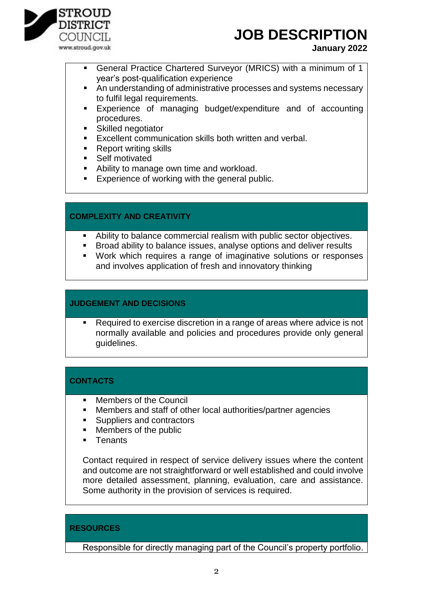

# **JOB DESCRIPTION**

#### **January 2022**

- General Practice Chartered Surveyor (MRICS) with a minimum of 1 year's post-qualification experience
- An understanding of administrative processes and systems necessary to fulfil legal requirements.
- Experience of managing budget/expenditure and of accounting procedures.
- **Skilled negotiator**
- **Excellent communication skills both written and verbal.**
- Report writing skills
- Self motivated
- Ability to manage own time and workload.
- **Experience of working with the general public.**

#### **COMPLEXITY AND CREATIVITY**

- Ability to balance commercial realism with public sector objectives.
- **Broad ability to balance issues, analyse options and deliver results**
- Work which requires a range of imaginative solutions or responses and involves application of fresh and innovatory thinking

### **JUDGEMENT AND DECISIONS**

 Required to exercise discretion in a range of areas where advice is not normally available and policies and procedures provide only general guidelines.

## **CONTACTS**

- Members of the Council
- Members and staff of other local authorities/partner agencies
- Suppliers and contractors
- Members of the public
- **Tenants**

Contact required in respect of service delivery issues where the content and outcome are not straightforward or well established and could involve more detailed assessment, planning, evaluation, care and assistance. Some authority in the provision of services is required.

#### **RESOURCES**

Responsible for directly managing part of the Council's property portfolio.